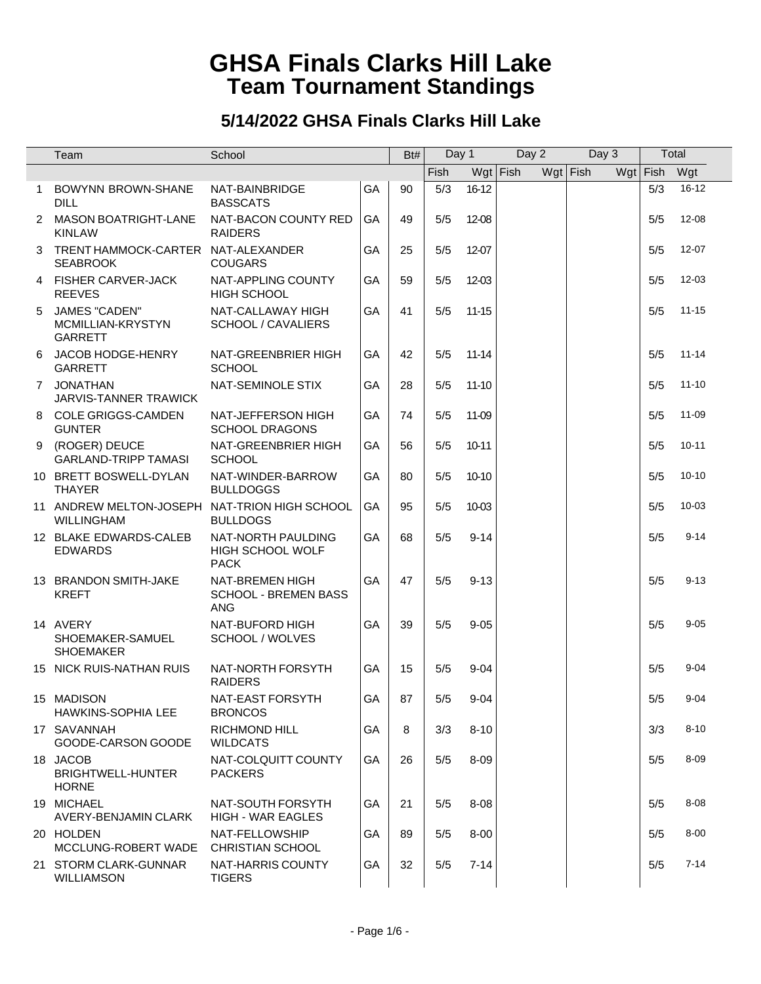|              | Team                                                               | School                                                       |           | Bt# | Day 1 |           | Day 2      | Day 3      |              | Total     |
|--------------|--------------------------------------------------------------------|--------------------------------------------------------------|-----------|-----|-------|-----------|------------|------------|--------------|-----------|
|              |                                                                    |                                                              |           |     | Fish  |           | $Wgt$ Fish | $Wgt$ Fish | Wgt Fish Wgt |           |
| $\mathbf{1}$ | <b>BOWYNN BROWN-SHANE</b><br><b>DILL</b>                           | NAT-BAINBRIDGE<br><b>BASSCATS</b>                            | GA        | 90  | 5/3   | $16 - 12$ |            |            | 5/3          | $16 - 12$ |
|              | 2 MASON BOATRIGHT-LANE<br><b>KINLAW</b>                            | NAT-BACON COUNTY RED<br><b>RAIDERS</b>                       | <b>GA</b> | 49  | 5/5   | 12-08     |            |            | 5/5          | 12-08     |
| 3            | TRENT HAMMOCK-CARTER NAT-ALEXANDER<br><b>SEABROOK</b>              | <b>COUGARS</b>                                               | GA        | 25  | 5/5   | 12-07     |            |            | 5/5          | 12-07     |
|              | 4 FISHER CARVER-JACK<br><b>REEVES</b>                              | NAT-APPLING COUNTY<br><b>HIGH SCHOOL</b>                     | GA        | 59  | 5/5   | 12-03     |            |            | 5/5          | 12-03     |
| 5            | JAMES "CADEN"<br>MCMILLIAN-KRYSTYN<br><b>GARRETT</b>               | NAT-CALLAWAY HIGH<br>SCHOOL / CAVALIERS                      | GA        | 41  | 5/5   | $11 - 15$ |            |            | 5/5          | $11 - 15$ |
| 6            | JACOB HODGE-HENRY<br><b>GARRETT</b>                                | NAT-GREENBRIER HIGH<br><b>SCHOOL</b>                         | GA        | 42  | 5/5   | $11 - 14$ |            |            | 5/5          | $11 - 14$ |
|              | 7 JONATHAN<br><b>JARVIS-TANNER TRAWICK</b>                         | NAT-SEMINOLE STIX                                            | GA        | 28  | 5/5   | $11-10$   |            |            | 5/5          | $11 - 10$ |
|              | 8 COLE GRIGGS-CAMDEN<br><b>GUNTER</b>                              | NAT-JEFFERSON HIGH<br><b>SCHOOL DRAGONS</b>                  | GA        | 74  | 5/5   | 11-09     |            |            | 5/5          | 11-09     |
|              | 9 (ROGER) DEUCE<br><b>GARLAND-TRIPP TAMASI</b>                     | NAT-GREENBRIER HIGH<br><b>SCHOOL</b>                         | GA        | 56  | 5/5   | $10 - 11$ |            |            | 5/5          | $10 - 11$ |
|              | 10 BRETT BOSWELL-DYLAN<br><b>THAYER</b>                            | NAT-WINDER-BARROW<br><b>BULLDOGGS</b>                        | GA        | 80  | 5/5   | 10-10     |            |            | 5/5          | $10 - 10$ |
|              | 11 ANDREW MELTON-JOSEPH NAT-TRION HIGH SCHOOL<br><b>WILLINGHAM</b> | <b>BULLDOGS</b>                                              | GA        | 95  | 5/5   | 10-03     |            |            | 5/5          | 10-03     |
|              | 12 BLAKE EDWARDS-CALEB<br><b>EDWARDS</b>                           | NAT-NORTH PAULDING<br>HIGH SCHOOL WOLF<br><b>PACK</b>        | GA        | 68  | 5/5   | $9 - 14$  |            |            | 5/5          | $9 - 14$  |
|              | 13 BRANDON SMITH-JAKE<br><b>KREFT</b>                              | NAT-BREMEN HIGH<br><b>SCHOOL - BREMEN BASS</b><br><b>ANG</b> | GA        | 47  | 5/5   | $9 - 13$  |            |            | 5/5          | $9 - 13$  |
|              | 14 AVERY<br>SHOEMAKER-SAMUEL<br><b>SHOEMAKER</b>                   | NAT-BUFORD HIGH<br>SCHOOL / WOLVES                           | GA        | 39  | 5/5   | $9 - 05$  |            |            | 5/5          | $9 - 05$  |
|              | 15 NICK RUIS-NATHAN RUIS                                           | NAT-NORTH FORSYTH<br><b>RAIDERS</b>                          | GA        | 15  | 5/5   | $9 - 04$  |            |            | 5/5          | $9 - 04$  |
|              | 15 MADISON<br><b>HAWKINS-SOPHIA LEE</b>                            | NAT-EAST FORSYTH<br><b>BRONCOS</b>                           | GA        | 87  | 5/5   | $9 - 04$  |            |            | 5/5          | $9 - 04$  |
|              | 17 SAVANNAH<br>GOODE-CARSON GOODE                                  | <b>RICHMOND HILL</b><br><b>WILDCATS</b>                      | GA        | 8   | 3/3   | $8 - 10$  |            |            | 3/3          | $8 - 10$  |
|              | 18 JACOB<br>BRIGHTWELL-HUNTER<br><b>HORNE</b>                      | NAT-COLQUITT COUNTY<br><b>PACKERS</b>                        | GA        | 26  | 5/5   | $8 - 09$  |            |            | 5/5          | $8 - 09$  |
|              | 19 MICHAEL<br>AVERY-BENJAMIN CLARK                                 | NAT-SOUTH FORSYTH<br><b>HIGH - WAR EAGLES</b>                | GA        | 21  | 5/5   | $8 - 08$  |            |            | 5/5          | $8 - 08$  |
|              | 20 HOLDEN<br>MCCLUNG-ROBERT WADE                                   | NAT-FELLOWSHIP<br><b>CHRISTIAN SCHOOL</b>                    | GA        | 89  | 5/5   | $8 - 00$  |            |            | 5/5          | $8 - 00$  |
|              | 21 STORM CLARK-GUNNAR<br>WILLIAMSON                                | NAT-HARRIS COUNTY<br><b>TIGERS</b>                           | GA        | 32  | 5/5   | $7 - 14$  |            |            | 5/5          | $7 - 14$  |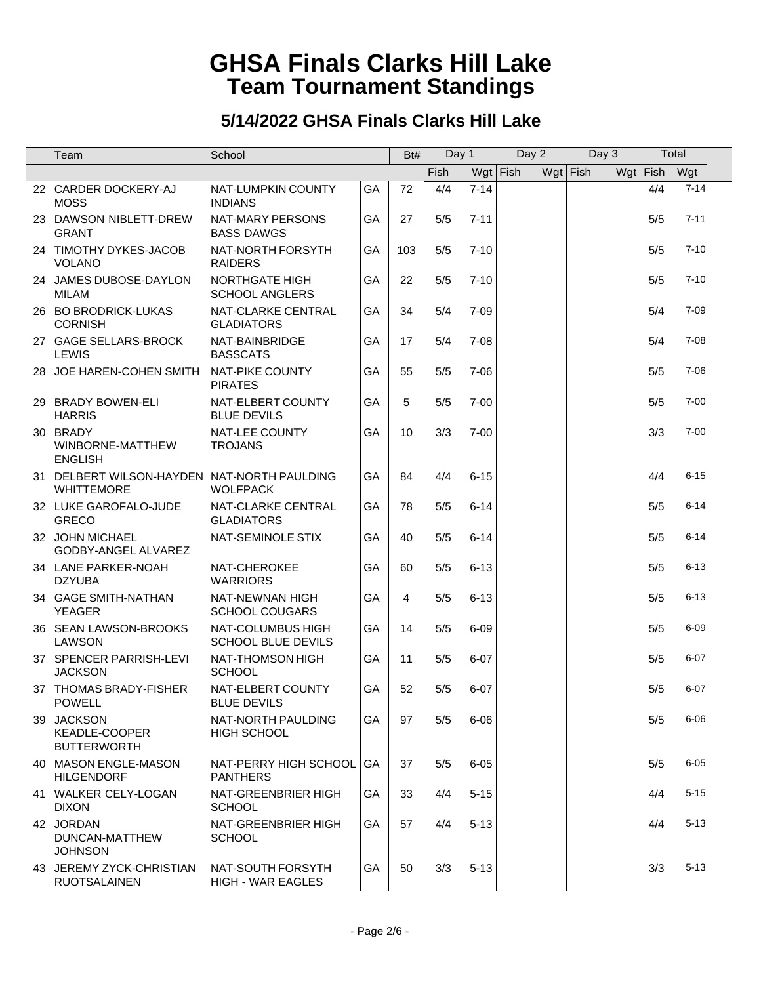| Team                                                             | School                                         |           | Bt# | Day 1 |          | Day 2      |            | Day 3 | Total        |          |
|------------------------------------------------------------------|------------------------------------------------|-----------|-----|-------|----------|------------|------------|-------|--------------|----------|
|                                                                  |                                                |           |     | Fish  |          | $Wgt$ Fish | $Wgt$ Fish |       | Wgt Fish Wgt |          |
| 22 CARDER DOCKERY-AJ<br><b>MOSS</b>                              | NAT-LUMPKIN COUNTY<br><b>INDIANS</b>           | GA        | 72  | 4/4   | $7 - 14$ |            |            |       | 4/4          | $7 - 14$ |
| 23 DAWSON NIBLETT-DREW<br><b>GRANT</b>                           | <b>NAT-MARY PERSONS</b><br><b>BASS DAWGS</b>   | GA        | 27  | 5/5   | $7 - 11$ |            |            |       | 5/5          | $7 - 11$ |
| 24 TIMOTHY DYKES-JACOB<br><b>VOLANO</b>                          | NAT-NORTH FORSYTH<br><b>RAIDERS</b>            | GA        | 103 | 5/5   | $7 - 10$ |            |            |       | 5/5          | $7 - 10$ |
| 24 JAMES DUBOSE-DAYLON<br><b>MILAM</b>                           | <b>NORTHGATE HIGH</b><br><b>SCHOOL ANGLERS</b> | GA        | 22  | 5/5   | $7 - 10$ |            |            |       | 5/5          | $7 - 10$ |
| 26 BO BRODRICK-LUKAS<br><b>CORNISH</b>                           | NAT-CLARKE CENTRAL<br><b>GLADIATORS</b>        | GA        | 34  | 5/4   | $7 - 09$ |            |            |       | 5/4          | $7 - 09$ |
| 27 GAGE SELLARS-BROCK<br><b>LEWIS</b>                            | NAT-BAINBRIDGE<br><b>BASSCATS</b>              | GA        | 17  | 5/4   | $7 - 08$ |            |            |       | 5/4          | $7 - 08$ |
| 28 JOE HAREN-COHEN SMITH                                         | <b>NAT-PIKE COUNTY</b><br><b>PIRATES</b>       | GA        | 55  | 5/5   | $7 - 06$ |            |            |       | 5/5          | $7 - 06$ |
| 29 BRADY BOWEN-ELI<br><b>HARRIS</b>                              | NAT-ELBERT COUNTY<br><b>BLUE DEVILS</b>        | GA        | 5   | 5/5   | $7 - 00$ |            |            |       | 5/5          | $7 - 00$ |
| 30 BRADY<br>WINBORNE-MATTHEW<br><b>ENGLISH</b>                   | NAT-LEE COUNTY<br><b>TROJANS</b>               | GA        | 10  | 3/3   | $7 - 00$ |            |            |       | 3/3          | $7 - 00$ |
| 31 DELBERT WILSON-HAYDEN NAT-NORTH PAULDING<br><b>WHITTEMORE</b> | <b>WOLFPACK</b>                                | GA        | 84  | 4/4   | $6 - 15$ |            |            |       | 4/4          | $6 - 15$ |
| 32 LUKE GAROFALO-JUDE<br><b>GRECO</b>                            | NAT-CLARKE CENTRAL<br><b>GLADIATORS</b>        | GA        | 78  | 5/5   | $6 - 14$ |            |            |       | 5/5          | $6 - 14$ |
| 32 JOHN MICHAEL<br>GODBY-ANGEL ALVAREZ                           | NAT-SEMINOLE STIX                              | GA        | 40  | 5/5   | $6 - 14$ |            |            |       | 5/5          | $6 - 14$ |
| 34 LANE PARKER-NOAH<br><b>DZYUBA</b>                             | NAT-CHEROKEE<br><b>WARRIORS</b>                | GA        | 60  | 5/5   | $6 - 13$ |            |            |       | 5/5          | $6 - 13$ |
| 34 GAGE SMITH-NATHAN<br><b>YEAGER</b>                            | NAT-NEWNAN HIGH<br><b>SCHOOL COUGARS</b>       | GA        | 4   | 5/5   | $6 - 13$ |            |            |       | 5/5          | $6 - 13$ |
| 36 SEAN LAWSON-BROOKS<br>LAWSON                                  | NAT-COLUMBUS HIGH<br><b>SCHOOL BLUE DEVILS</b> | GA        | 14  | 5/5   | $6 - 09$ |            |            |       | 5/5          | $6 - 09$ |
| 37 SPENCER PARRISH-LEVI<br><b>JACKSON</b>                        | NAT-THOMSON HIGH<br><b>SCHOOL</b>              | GA        | 11  | 5/5   | $6 - 07$ |            |            |       | 5/5          | $6 - 07$ |
| 37 THOMAS BRADY-FISHER<br><b>POWELL</b>                          | NAT-ELBERT COUNTY<br><b>BLUE DEVILS</b>        | GA        | 52  | 5/5   | $6 - 07$ |            |            |       | 5/5          | $6 - 07$ |
| 39 JACKSON<br>KEADLE-COOPER<br><b>BUTTERWORTH</b>                | NAT-NORTH PAULDING<br><b>HIGH SCHOOL</b>       | GA        | 97  | 5/5   | $6 - 06$ |            |            |       | 5/5          | $6 - 06$ |
| 40 MASON ENGLE-MASON<br><b>HILGENDORF</b>                        | NAT-PERRY HIGH SCHOOL GA<br><b>PANTHERS</b>    |           | 37  | 5/5   | $6 - 05$ |            |            |       | 5/5          | $6 - 05$ |
| 41 WALKER CELY-LOGAN<br><b>DIXON</b>                             | NAT-GREENBRIER HIGH<br><b>SCHOOL</b>           | <b>GA</b> | 33  | 4/4   | $5 - 15$ |            |            |       | 4/4          | $5 - 15$ |
| 42 JORDAN<br>DUNCAN-MATTHEW<br><b>JOHNSON</b>                    | NAT-GREENBRIER HIGH<br><b>SCHOOL</b>           | GA        | 57  | 4/4   | $5 - 13$ |            |            |       | 4/4          | $5 - 13$ |
| 43 JEREMY ZYCK-CHRISTIAN<br><b>RUOTSALAINEN</b>                  | NAT-SOUTH FORSYTH<br><b>HIGH - WAR EAGLES</b>  | GA        | 50  | 3/3   | $5 - 13$ |            |            |       | 3/3          | $5 - 13$ |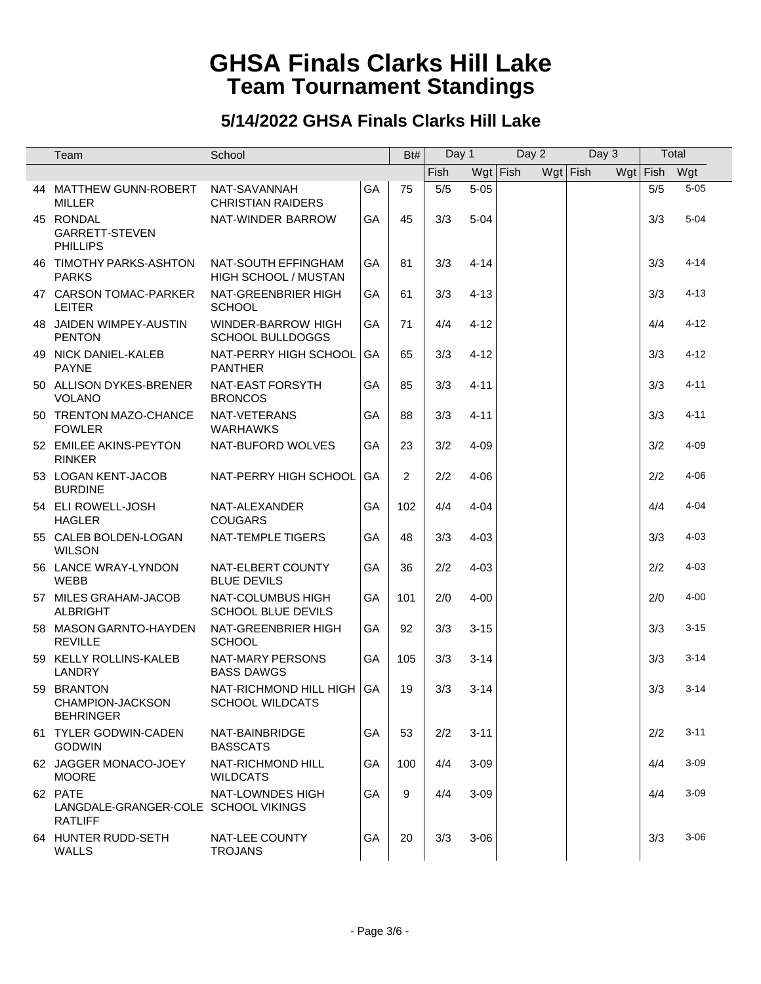| Team                                                              | School                                               |    | Bt#            | Day 1 |          | Day 2      |            | Day 3 |              | Total    |
|-------------------------------------------------------------------|------------------------------------------------------|----|----------------|-------|----------|------------|------------|-------|--------------|----------|
|                                                                   |                                                      |    |                | Fish  |          | $Wgt$ Fish | $Wgt$ Fish |       | Wgt Fish Wgt |          |
| 44 MATTHEW GUNN-ROBERT<br><b>MILLER</b>                           | NAT-SAVANNAH<br><b>CHRISTIAN RAIDERS</b>             | GA | 75             | $5/5$ | $5 - 05$ |            |            |       | 5/5          | $5 - 05$ |
| 45 RONDAL<br>GARRETT-STEVEN<br><b>PHILLIPS</b>                    | NAT-WINDER BARROW                                    | GA | 45             | 3/3   | $5 - 04$ |            |            |       | 3/3          | $5 - 04$ |
| 46 TIMOTHY PARKS-ASHTON<br><b>PARKS</b>                           | NAT-SOUTH EFFINGHAM<br>HIGH SCHOOL / MUSTAN          | GA | 81             | 3/3   | $4 - 14$ |            |            |       | 3/3          | $4 - 14$ |
| 47 CARSON TOMAC-PARKER<br><b>LEITER</b>                           | NAT-GREENBRIER HIGH<br><b>SCHOOL</b>                 | GA | 61             | 3/3   | $4 - 13$ |            |            |       | 3/3          | $4 - 13$ |
| 48 JAIDEN WIMPEY-AUSTIN<br><b>PENTON</b>                          | <b>WINDER-BARROW HIGH</b><br><b>SCHOOL BULLDOGGS</b> | GA | 71             | 4/4   | $4 - 12$ |            |            |       | 4/4          | $4 - 12$ |
| 49 NICK DANIEL-KALEB<br><b>PAYNE</b>                              | NAT-PERRY HIGH SCHOOL<br><b>PANTHER</b>              | GA | 65             | 3/3   | $4 - 12$ |            |            |       | 3/3          | $4 - 12$ |
| 50 ALLISON DYKES-BRENER<br><b>VOLANO</b>                          | NAT-EAST FORSYTH<br><b>BRONCOS</b>                   | GA | 85             | 3/3   | $4 - 11$ |            |            |       | 3/3          | $4 - 11$ |
| 50 TRENTON MAZO-CHANCE<br><b>FOWLER</b>                           | NAT-VETERANS<br><b>WARHAWKS</b>                      | GA | 88             | 3/3   | $4 - 11$ |            |            |       | 3/3          | $4 - 11$ |
| 52 EMILEE AKINS-PEYTON<br><b>RINKER</b>                           | NAT-BUFORD WOLVES                                    | GA | 23             | 3/2   | $4 - 09$ |            |            |       | 3/2          | $4 - 09$ |
| 53 LOGAN KENT-JACOB<br><b>BURDINE</b>                             | NAT-PERRY HIGH SCHOOL                                | GA | $\overline{2}$ | 2/2   | $4 - 06$ |            |            |       | 2/2          | 4-06     |
| 54 ELI ROWELL-JOSH<br><b>HAGLER</b>                               | NAT-ALEXANDER<br><b>COUGARS</b>                      | GA | 102            | 4/4   | $4 - 04$ |            |            |       | 4/4          | $4 - 04$ |
| 55 CALEB BOLDEN-LOGAN<br><b>WILSON</b>                            | NAT-TEMPLE TIGERS                                    | GA | 48             | 3/3   | $4 - 03$ |            |            |       | 3/3          | $4 - 03$ |
| 56 LANCE WRAY-LYNDON<br><b>WEBB</b>                               | NAT-ELBERT COUNTY<br><b>BLUE DEVILS</b>              | GA | 36             | 2/2   | $4 - 03$ |            |            |       | 2/2          | $4 - 03$ |
| 57 MILES GRAHAM-JACOB<br><b>ALBRIGHT</b>                          | NAT-COLUMBUS HIGH<br><b>SCHOOL BLUE DEVILS</b>       | GA | 101            | 2/0   | $4 - 00$ |            |            |       | 2/0          | $4 - 00$ |
| 58 MASON GARNTO-HAYDEN<br><b>REVILLE</b>                          | NAT-GREENBRIER HIGH<br><b>SCHOOL</b>                 | GA | 92             | 3/3   | $3 - 15$ |            |            |       | 3/3          | $3 - 15$ |
| 59 KELLY ROLLINS-KALEB<br><b>LANDRY</b>                           | NAT-MARY PERSONS<br><b>BASS DAWGS</b>                | GA | 105            | 3/3   | $3 - 14$ |            |            |       | 3/3          | $3 - 14$ |
| 59 BRANTON<br>CHAMPION-JACKSON<br><b>BEHRINGER</b>                | NAT-RICHMOND HILL HIGH<br><b>SCHOOL WILDCATS</b>     | GA | 19             | 3/3   | $3 - 14$ |            |            |       | 3/3          | $3 - 14$ |
| 61 TYLER GODWIN-CADEN<br><b>GODWIN</b>                            | NAT-BAINBRIDGE<br><b>BASSCATS</b>                    | GA | 53             | 2/2   | $3 - 11$ |            |            |       | 2/2          | $3 - 11$ |
| 62 JAGGER MONACO-JOEY<br><b>MOORE</b>                             | NAT-RICHMOND HILL<br><b>WILDCATS</b>                 | GA | 100            | 4/4   | $3 - 09$ |            |            |       | 4/4          | $3 - 09$ |
| 62 PATE<br>LANGDALE-GRANGER-COLE SCHOOL VIKINGS<br><b>RATLIFF</b> | NAT-LOWNDES HIGH                                     | GA | 9              | 4/4   | $3 - 09$ |            |            |       | 4/4          | $3 - 09$ |
| 64 HUNTER RUDD-SETH<br>WALLS                                      | NAT-LEE COUNTY<br><b>TROJANS</b>                     | GA | 20             | 3/3   | $3 - 06$ |            |            |       | 3/3          | $3 - 06$ |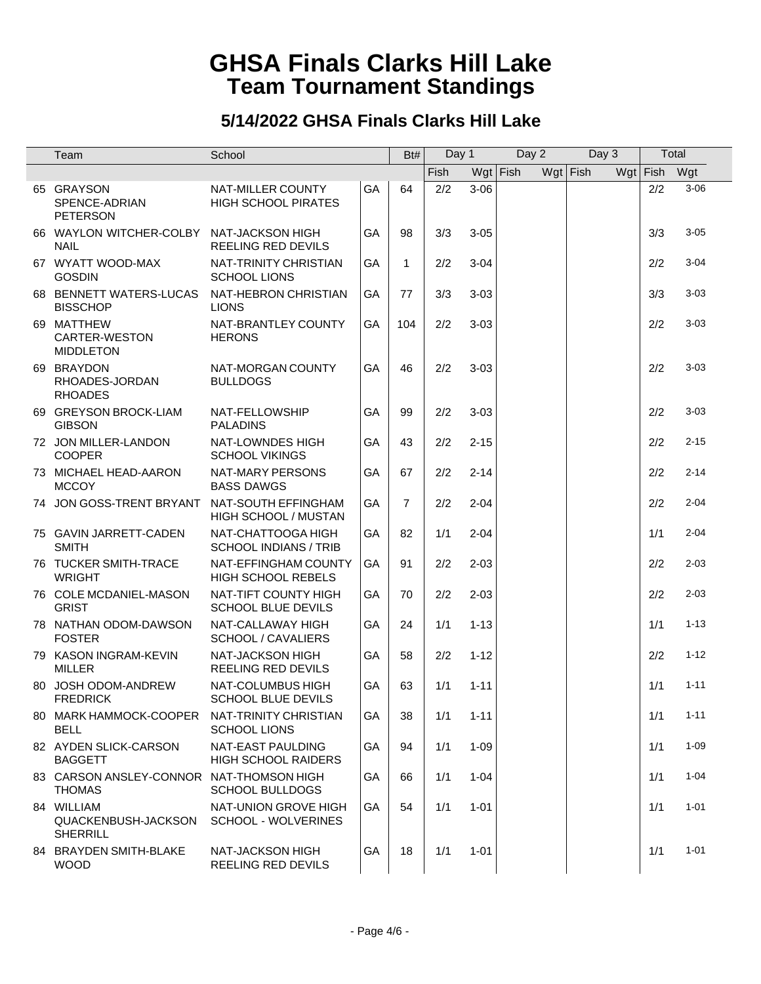| Team                                                        | School                                                 |           | Bt#            | Day 1 |          | Day 2      |            | Day 3 |              | Total    |  |
|-------------------------------------------------------------|--------------------------------------------------------|-----------|----------------|-------|----------|------------|------------|-------|--------------|----------|--|
|                                                             |                                                        |           |                | Fish  |          | $Wgt$ Fish | $Wgt$ Fish |       | Wgt Fish Wgt |          |  |
| 65 GRAYSON<br>SPENCE-ADRIAN<br><b>PETERSON</b>              | <b>NAT-MILLER COUNTY</b><br><b>HIGH SCHOOL PIRATES</b> | GA        | 64             | 2/2   | $3 - 06$ |            |            |       | 2/2          | $3 - 06$ |  |
| 66 WAYLON WITCHER-COLBY NAT-JACKSON HIGH<br><b>NAIL</b>     | REELING RED DEVILS                                     | GA        | 98             | 3/3   | $3 - 05$ |            |            |       | 3/3          | $3 - 05$ |  |
| 67 WYATT WOOD-MAX<br><b>GOSDIN</b>                          | NAT-TRINITY CHRISTIAN<br><b>SCHOOL LIONS</b>           | GA        | 1              | 2/2   | $3 - 04$ |            |            |       | 2/2          | $3 - 04$ |  |
| 68 BENNETT WATERS-LUCAS<br><b>BISSCHOP</b>                  | NAT-HEBRON CHRISTIAN<br><b>LIONS</b>                   | <b>GA</b> | 77             | 3/3   | $3 - 03$ |            |            |       | 3/3          | $3 - 03$ |  |
| 69 MATTHEW<br>CARTER-WESTON<br><b>MIDDLETON</b>             | NAT-BRANTLEY COUNTY<br><b>HERONS</b>                   | GA        | 104            | 2/2   | $3 - 03$ |            |            |       | 2/2          | $3 - 03$ |  |
| 69 BRAYDON<br>RHOADES-JORDAN<br><b>RHOADES</b>              | NAT-MORGAN COUNTY<br><b>BULLDOGS</b>                   | <b>GA</b> | 46             | 2/2   | $3 - 03$ |            |            |       | 2/2          | $3 - 03$ |  |
| 69 GREYSON BROCK-LIAM<br><b>GIBSON</b>                      | NAT-FELLOWSHIP<br><b>PALADINS</b>                      | GA        | 99             | 2/2   | $3 - 03$ |            |            |       | 2/2          | $3 - 03$ |  |
| 72 JON MILLER-LANDON<br><b>COOPER</b>                       | NAT-LOWNDES HIGH<br><b>SCHOOL VIKINGS</b>              | <b>GA</b> | 43             | 2/2   | $2 - 15$ |            |            |       | 2/2          | $2 - 15$ |  |
| 73 MICHAEL HEAD-AARON<br><b>MCCOY</b>                       | NAT-MARY PERSONS<br><b>BASS DAWGS</b>                  | GA        | 67             | 2/2   | $2 - 14$ |            |            |       | 2/2          | $2 - 14$ |  |
| 74 JON GOSS-TRENT BRYANT                                    | NAT-SOUTH EFFINGHAM<br>HIGH SCHOOL / MUSTAN            | GA        | $\overline{7}$ | 2/2   | $2 - 04$ |            |            |       | 2/2          | $2 - 04$ |  |
| 75 GAVIN JARRETT-CADEN<br><b>SMITH</b>                      | NAT-CHATTOOGA HIGH<br><b>SCHOOL INDIANS / TRIB</b>     | GA        | 82             | 1/1   | $2 - 04$ |            |            |       | 1/1          | $2 - 04$ |  |
| 76 TUCKER SMITH-TRACE<br><b>WRIGHT</b>                      | NAT-EFFINGHAM COUNTY<br><b>HIGH SCHOOL REBELS</b>      | GA        | 91             | 2/2   | $2 - 03$ |            |            |       | 2/2          | $2 - 03$ |  |
| 76 COLE MCDANIEL-MASON<br><b>GRIST</b>                      | NAT-TIFT COUNTY HIGH<br><b>SCHOOL BLUE DEVILS</b>      | GA        | 70             | 2/2   | $2 - 03$ |            |            |       | 2/2          | $2 - 03$ |  |
| 78 NATHAN ODOM-DAWSON<br><b>FOSTER</b>                      | NAT-CALLAWAY HIGH<br>SCHOOL / CAVALIERS                | GA        | 24             | 1/1   | $1 - 13$ |            |            |       | 1/1          | $1 - 13$ |  |
| 79 KASON INGRAM-KEVIN<br><b>MILLER</b>                      | NAT-JACKSON HIGH<br>REELING RED DEVILS                 | GA        | 58             | 2/2   | $1 - 12$ |            |            |       | 2/2          | $1 - 12$ |  |
| 80 JOSH ODOM-ANDREW<br><b>FREDRICK</b>                      | NAT-COLUMBUS HIGH<br><b>SCHOOL BLUE DEVILS</b>         | GA        | 63             | 1/1   | $1 - 11$ |            |            |       | 1/1          | $1 - 11$ |  |
| 80 MARK HAMMOCK-COOPER NAT-TRINITY CHRISTIAN<br><b>BELL</b> | <b>SCHOOL LIONS</b>                                    | GA        | 38             | 1/1   | $1 - 11$ |            |            |       | 1/1          | $1 - 11$ |  |
| 82 AYDEN SLICK-CARSON<br><b>BAGGETT</b>                     | NAT-EAST PAULDING<br><b>HIGH SCHOOL RAIDERS</b>        | GA        | 94             | 1/1   | $1 - 09$ |            |            |       | 1/1          | $1 - 09$ |  |
| 83 CARSON ANSLEY-CONNOR NAT-THOMSON HIGH<br><b>THOMAS</b>   | <b>SCHOOL BULLDOGS</b>                                 | GA        | 66             | 1/1   | $1 - 04$ |            |            |       | 1/1          | $1 - 04$ |  |
| 84 WILLIAM<br>QUACKENBUSH-JACKSON<br><b>SHERRILL</b>        | NAT-UNION GROVE HIGH<br>SCHOOL - WOLVERINES            | GA        | 54             | 1/1   | $1 - 01$ |            |            |       | 1/1          | $1 - 01$ |  |
| 84 BRAYDEN SMITH-BLAKE<br><b>WOOD</b>                       | NAT-JACKSON HIGH<br>REELING RED DEVILS                 | GA        | 18             | 1/1   | $1 - 01$ |            |            |       | 1/1          | $1 - 01$ |  |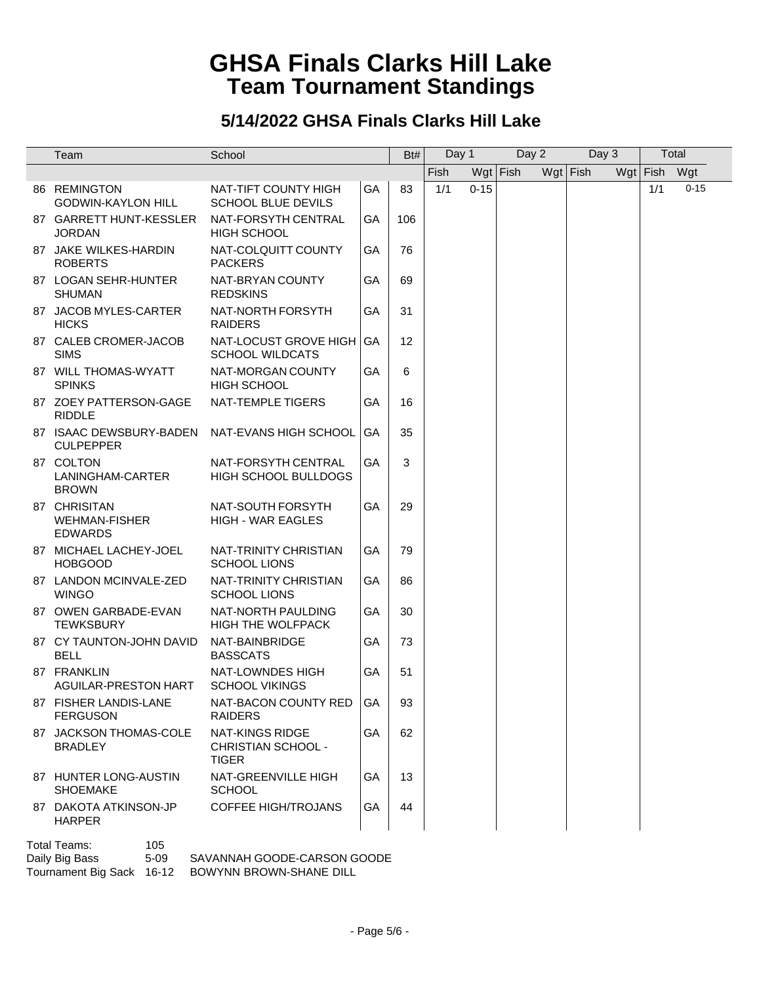#### **5/14/2022 GHSA Finals Clarks Hill Lake**

| Team                                                   | School                                                       |    | Bt# | Day 1 |          | Day 2      |            | Day 3 |              | Total    |
|--------------------------------------------------------|--------------------------------------------------------------|----|-----|-------|----------|------------|------------|-------|--------------|----------|
|                                                        |                                                              |    |     | Fish  |          | $Wgt$ Fish | $Wgt$ Fish |       | Wgt Fish Wgt |          |
| 86 REMINGTON<br><b>GODWIN-KAYLON HILL</b>              | NAT-TIFT COUNTY HIGH<br><b>SCHOOL BLUE DEVILS</b>            | GA | 83  | 1/1   | $0 - 15$ |            |            |       | 1/1          | $0 - 15$ |
| 87 GARRETT HUNT-KESSLER<br><b>JORDAN</b>               | NAT-FORSYTH CENTRAL<br><b>HIGH SCHOOL</b>                    | GA | 106 |       |          |            |            |       |              |          |
| 87 JAKE WILKES-HARDIN<br><b>ROBERTS</b>                | NAT-COLQUITT COUNTY<br><b>PACKERS</b>                        | GA | 76  |       |          |            |            |       |              |          |
| 87 LOGAN SEHR-HUNTER<br><b>SHUMAN</b>                  | NAT-BRYAN COUNTY<br><b>REDSKINS</b>                          | GA | 69  |       |          |            |            |       |              |          |
| 87 JACOB MYLES-CARTER<br><b>HICKS</b>                  | NAT-NORTH FORSYTH<br><b>RAIDERS</b>                          | GA | 31  |       |          |            |            |       |              |          |
| 87 CALEB CROMER-JACOB<br><b>SIMS</b>                   | NAT-LOCUST GROVE HIGH<br><b>SCHOOL WILDCATS</b>              | GA | 12  |       |          |            |            |       |              |          |
| 87 WILL THOMAS-WYATT<br><b>SPINKS</b>                  | NAT-MORGAN COUNTY<br><b>HIGH SCHOOL</b>                      | GА | 6   |       |          |            |            |       |              |          |
| 87 ZOEY PATTERSON-GAGE<br><b>RIDDLE</b>                | NAT-TEMPLE TIGERS                                            | GA | 16  |       |          |            |            |       |              |          |
| 87 ISAAC DEWSBURY-BADEN<br><b>CULPEPPER</b>            | NAT-EVANS HIGH SCHOOL                                        | GA | 35  |       |          |            |            |       |              |          |
| 87 COLTON<br>LANINGHAM-CARTER<br><b>BROWN</b>          | NAT-FORSYTH CENTRAL<br><b>HIGH SCHOOL BULLDOGS</b>           | GA | 3   |       |          |            |            |       |              |          |
| 87 CHRISITAN<br><b>WEHMAN-FISHER</b><br><b>EDWARDS</b> | NAT-SOUTH FORSYTH<br><b>HIGH - WAR EAGLES</b>                | GA | 29  |       |          |            |            |       |              |          |
| 87 MICHAEL LACHEY-JOEL<br><b>HOBGOOD</b>               | NAT-TRINITY CHRISTIAN<br><b>SCHOOL LIONS</b>                 | GA | 79  |       |          |            |            |       |              |          |
| 87 LANDON MCINVALE-ZED<br><b>WINGO</b>                 | NAT-TRINITY CHRISTIAN<br><b>SCHOOL LIONS</b>                 | GA | 86  |       |          |            |            |       |              |          |
| 87 OWEN GARBADE-EVAN<br><b>TEWKSBURY</b>               | NAT-NORTH PAULDING<br><b>HIGH THE WOLFPACK</b>               | GA | 30  |       |          |            |            |       |              |          |
| 87 CY TAUNTON-JOHN DAVID<br><b>BELL</b>                | NAT-BAINBRIDGE<br><b>BASSCATS</b>                            | GA | 73  |       |          |            |            |       |              |          |
| 87 FRANKLIN<br>AGUILAR-PRESTON HART                    | NAT-LOWNDES HIGH<br><b>SCHOOL VIKINGS</b>                    | GA | 51  |       |          |            |            |       |              |          |
| 87 FISHER LANDIS-LANE<br><b>FERGUSON</b>               | NAT-BACON COUNTY RED<br><b>RAIDERS</b>                       | GA | 93  |       |          |            |            |       |              |          |
| 87 JACKSON THOMAS-COLE<br><b>BRADLEY</b>               | <b>NAT-KINGS RIDGE</b><br>CHRISTIAN SCHOOL -<br><b>TIGER</b> | GA | 62  |       |          |            |            |       |              |          |
| 87 HUNTER LONG-AUSTIN<br><b>SHOEMAKE</b>               | NAT-GREENVILLE HIGH<br><b>SCHOOL</b>                         | GA | 13  |       |          |            |            |       |              |          |
| 87 DAKOTA ATKINSON-JP<br><b>HARPER</b>                 | <b>COFFEE HIGH/TROJANS</b>                                   | GA | 44  |       |          |            |            |       |              |          |

Total Teams: 105<br>Daily Big Bass 5-09

SAVANNAH GOODE-CARSON GOODE

Tournament Big Sack 16-12 BOWYNN BROWN-SHANE DILL